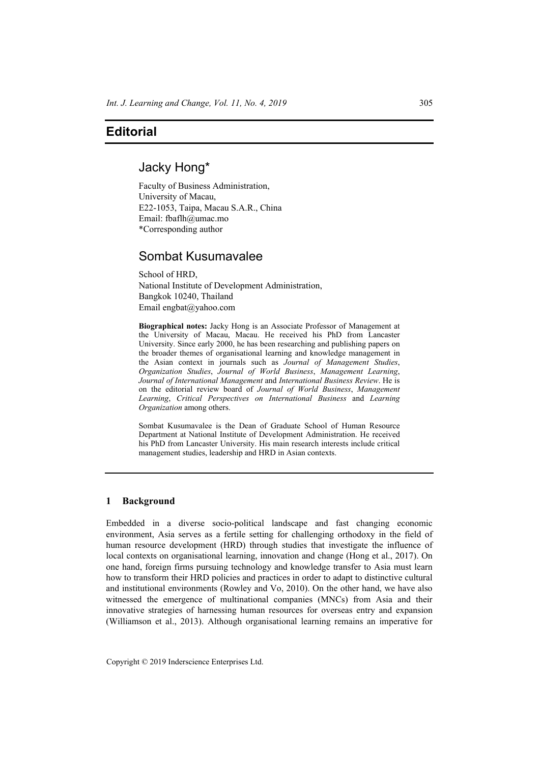# **Editorial**

## Jacky Hong\*

Faculty of Business Administration, University of Macau, E22-1053, Taipa, Macau S.A.R., China Email: fbaflh@umac.mo \*Corresponding author

# Sombat Kusumavalee

School of HRD, National Institute of Development Administration, Bangkok 10240, Thailand Email engbat@yahoo.com

**Biographical notes:** Jacky Hong is an Associate Professor of Management at the University of Macau, Macau. He received his PhD from Lancaster University. Since early 2000, he has been researching and publishing papers on the broader themes of organisational learning and knowledge management in the Asian context in journals such as *Journal of Management Studies*, *Organization Studies*, *Journal of World Business*, *Management Learning*, *Journal of International Management* and *International Business Review*. He is on the editorial review board of *Journal of World Business*, *Management Learning*, *Critical Perspectives on International Business* and *Learning Organization* among others.

Sombat Kusumavalee is the Dean of Graduate School of Human Resource Department at National Institute of Development Administration. He received his PhD from Lancaster University. His main research interests include critical management studies, leadership and HRD in Asian contexts.

### **1 Background**

Embedded in a diverse socio-political landscape and fast changing economic environment, Asia serves as a fertile setting for challenging orthodoxy in the field of human resource development (HRD) through studies that investigate the influence of local contexts on organisational learning, innovation and change (Hong et al., 2017). On one hand, foreign firms pursuing technology and knowledge transfer to Asia must learn how to transform their HRD policies and practices in order to adapt to distinctive cultural and institutional environments (Rowley and Vo, 2010). On the other hand, we have also witnessed the emergence of multinational companies (MNCs) from Asia and their innovative strategies of harnessing human resources for overseas entry and expansion (Williamson et al., 2013). Although organisational learning remains an imperative for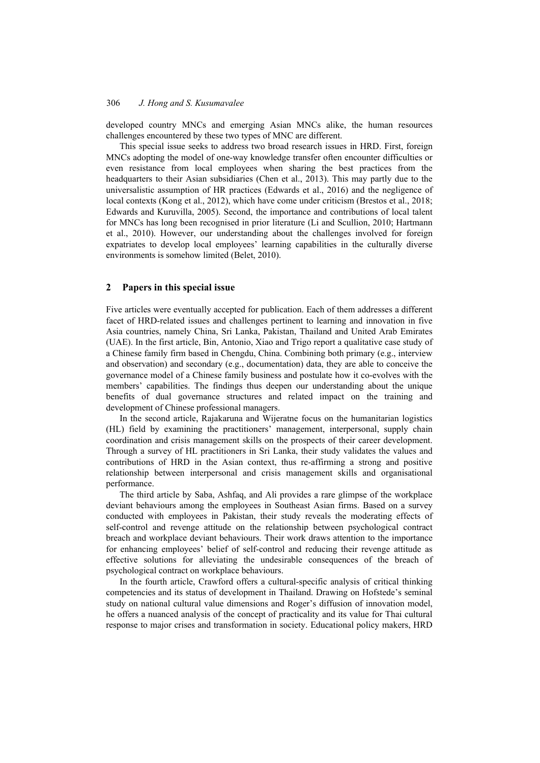developed country MNCs and emerging Asian MNCs alike, the human resources challenges encountered by these two types of MNC are different.

This special issue seeks to address two broad research issues in HRD. First, foreign MNCs adopting the model of one-way knowledge transfer often encounter difficulties or even resistance from local employees when sharing the best practices from the headquarters to their Asian subsidiaries (Chen et al., 2013). This may partly due to the universalistic assumption of HR practices (Edwards et al., 2016) and the negligence of local contexts (Kong et al., 2012), which have come under criticism (Brestos et al., 2018; Edwards and Kuruvilla, 2005). Second, the importance and contributions of local talent for MNCs has long been recognised in prior literature (Li and Scullion, 2010; Hartmann et al., 2010). However, our understanding about the challenges involved for foreign expatriates to develop local employees' learning capabilities in the culturally diverse environments is somehow limited (Belet, 2010).

### **2 Papers in this special issue**

Five articles were eventually accepted for publication. Each of them addresses a different facet of HRD-related issues and challenges pertinent to learning and innovation in five Asia countries, namely China, Sri Lanka, Pakistan, Thailand and United Arab Emirates (UAE). In the first article, Bin, Antonio, Xiao and Trigo report a qualitative case study of a Chinese family firm based in Chengdu, China. Combining both primary (e.g., interview and observation) and secondary (e.g., documentation) data, they are able to conceive the governance model of a Chinese family business and postulate how it co-evolves with the members' capabilities. The findings thus deepen our understanding about the unique benefits of dual governance structures and related impact on the training and development of Chinese professional managers.

In the second article, Rajakaruna and Wijeratne focus on the humanitarian logistics (HL) field by examining the practitioners' management, interpersonal, supply chain coordination and crisis management skills on the prospects of their career development. Through a survey of HL practitioners in Sri Lanka, their study validates the values and contributions of HRD in the Asian context, thus re-affirming a strong and positive relationship between interpersonal and crisis management skills and organisational performance.

The third article by Saba, Ashfaq, and Ali provides a rare glimpse of the workplace deviant behaviours among the employees in Southeast Asian firms. Based on a survey conducted with employees in Pakistan, their study reveals the moderating effects of self-control and revenge attitude on the relationship between psychological contract breach and workplace deviant behaviours. Their work draws attention to the importance for enhancing employees' belief of self-control and reducing their revenge attitude as effective solutions for alleviating the undesirable consequences of the breach of psychological contract on workplace behaviours.

In the fourth article, Crawford offers a cultural-specific analysis of critical thinking competencies and its status of development in Thailand. Drawing on Hofstede's seminal study on national cultural value dimensions and Roger's diffusion of innovation model, he offers a nuanced analysis of the concept of practicality and its value for Thai cultural response to major crises and transformation in society. Educational policy makers, HRD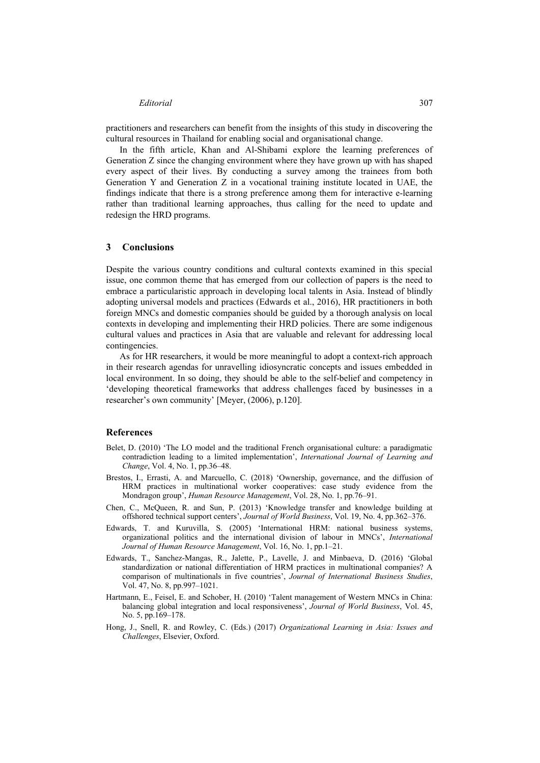#### *Editorial* 307

practitioners and researchers can benefit from the insights of this study in discovering the cultural resources in Thailand for enabling social and organisational change.

In the fifth article, Khan and Al-Shibami explore the learning preferences of Generation Z since the changing environment where they have grown up with has shaped every aspect of their lives. By conducting a survey among the trainees from both Generation Y and Generation Z in a vocational training institute located in UAE, the findings indicate that there is a strong preference among them for interactive e-learning rather than traditional learning approaches, thus calling for the need to update and redesign the HRD programs.

#### **3 Conclusions**

Despite the various country conditions and cultural contexts examined in this special issue, one common theme that has emerged from our collection of papers is the need to embrace a particularistic approach in developing local talents in Asia. Instead of blindly adopting universal models and practices (Edwards et al., 2016), HR practitioners in both foreign MNCs and domestic companies should be guided by a thorough analysis on local contexts in developing and implementing their HRD policies. There are some indigenous cultural values and practices in Asia that are valuable and relevant for addressing local contingencies.

As for HR researchers, it would be more meaningful to adopt a context-rich approach in their research agendas for unravelling idiosyncratic concepts and issues embedded in local environment. In so doing, they should be able to the self-belief and competency in 'developing theoretical frameworks that address challenges faced by businesses in a researcher's own community' [Meyer, (2006), p.120].

#### **References**

- Belet, D. (2010) 'The LO model and the traditional French organisational culture: a paradigmatic contradiction leading to a limited implementation', *International Journal of Learning and Change*, Vol. 4, No. 1, pp.36–48.
- Brestos, I., Errasti, A. and Marcuello, C. (2018) 'Ownership, governance, and the diffusion of HRM practices in multinational worker cooperatives: case study evidence from the Mondragon group', *Human Resource Management*, Vol. 28, No. 1, pp.76–91.
- Chen, C., McQueen, R. and Sun, P. (2013) 'Knowledge transfer and knowledge building at offshored technical support centers', *Journal of World Business*, Vol. 19, No. 4, pp.362–376.
- Edwards, T. and Kuruvilla, S. (2005) 'International HRM: national business systems, organizational politics and the international division of labour in MNCs', *International Journal of Human Resource Management*, Vol. 16, No. 1, pp.1–21.
- Edwards, T., Sanchez-Mangas, R., Jalette, P., Lavelle, J. and Minbaeva, D. (2016) 'Global standardization or national differentiation of HRM practices in multinational companies? A comparison of multinationals in five countries', *Journal of International Business Studies*, Vol. 47, No. 8, pp.997–1021.
- Hartmann, E., Feisel, E. and Schober, H. (2010) 'Talent management of Western MNCs in China: balancing global integration and local responsiveness', *Journal of World Business*, Vol. 45, No. 5, pp.169–178.
- Hong, J., Snell, R. and Rowley, C. (Eds.) (2017) *Organizational Learning in Asia: Issues and Challenges*, Elsevier, Oxford.